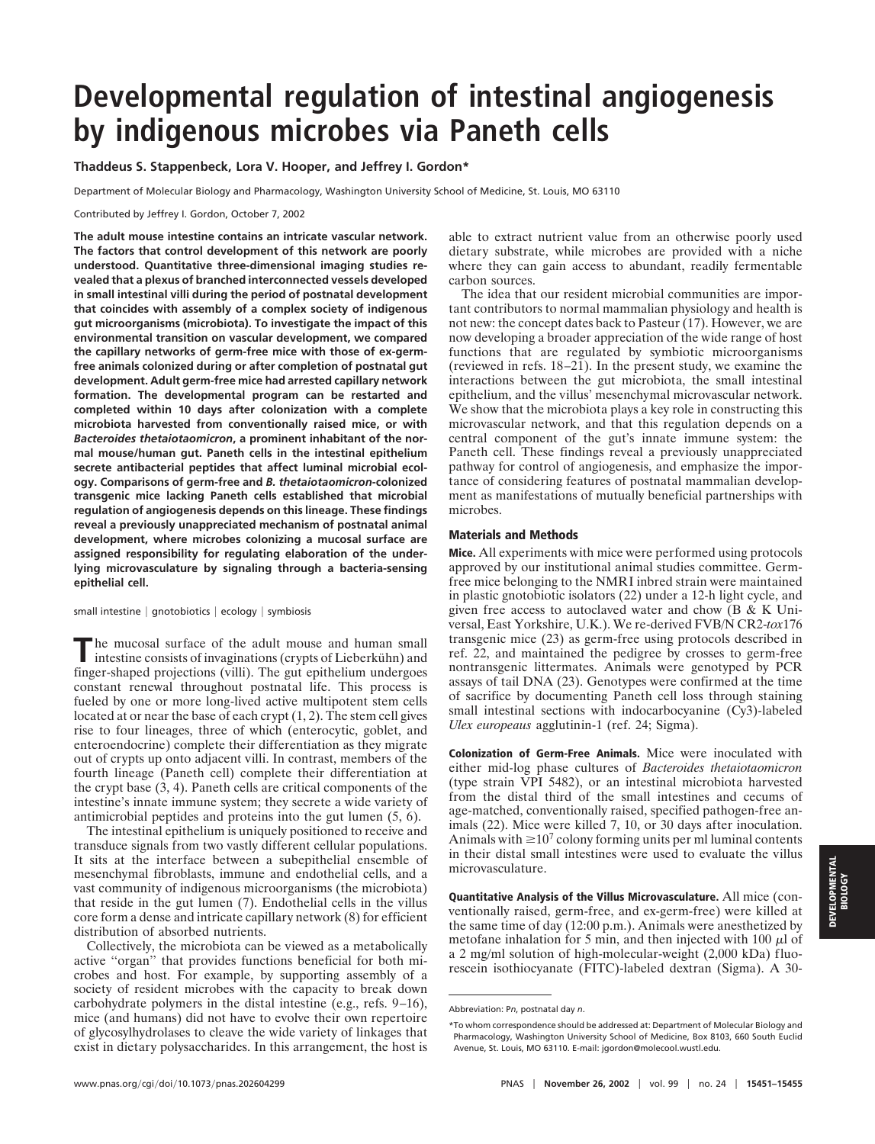## **Developmental regulation of intestinal angiogenesis by indigenous microbes via Paneth cells**

**Thaddeus S. Stappenbeck, Lora V. Hooper, and Jeffrey I. Gordon\***

Department of Molecular Biology and Pharmacology, Washington University School of Medicine, St. Louis, MO 63110

Contributed by Jeffrey I. Gordon, October 7, 2002

**The adult mouse intestine contains an intricate vascular network. The factors that control development of this network are poorly understood. Quantitative three-dimensional imaging studies revealed that a plexus of branched interconnected vessels developed in small intestinal villi during the period of postnatal development that coincides with assembly of a complex society of indigenous gut microorganisms (microbiota). To investigate the impact of this environmental transition on vascular development, we compared the capillary networks of germ-free mice with those of ex-germfree animals colonized during or after completion of postnatal gut development. Adult germ-free mice had arrested capillary network formation. The developmental program can be restarted and completed within 10 days after colonization with a complete microbiota harvested from conventionally raised mice, or with** *Bacteroides thetaiotaomicron***, a prominent inhabitant of the normal mouse/human gut. Paneth cells in the intestinal epithelium secrete antibacterial peptides that affect luminal microbial ecology. Comparisons of germ-free and** *B. thetaiotaomicron***-colonized transgenic mice lacking Paneth cells established that microbial regulation of angiogenesis depends on this lineage. These findings reveal a previously unappreciated mechanism of postnatal animal development, where microbes colonizing a mucosal surface are assigned responsibility for regulating elaboration of the underlying microvasculature by signaling through a bacteria-sensing epithelial cell.**

small intestine  $|$  gnotobiotics  $|$  ecology  $|$  symbiosis

**T**he mucosal surface of the adult mouse and human small intestine consists of invaginations (crypts of Lieberkühn) and finger-shaped projections (villi). The gut epithelium undergoes constant renewal throughout postnatal life. This process is fueled by one or more long-lived active multipotent stem cells located at or near the base of each crypt (1, 2). The stem cell gives rise to four lineages, three of which (enterocytic, goblet, and enteroendocrine) complete their differentiation as they migrate out of crypts up onto adjacent villi. In contrast, members of the fourth lineage (Paneth cell) complete their differentiation at the crypt base (3, 4). Paneth cells are critical components of the intestine's innate immune system; they secrete a wide variety of antimicrobial peptides and proteins into the gut lumen (5, 6).

The intestinal epithelium is uniquely positioned to receive and transduce signals from two vastly different cellular populations. It sits at the interface between a subepithelial ensemble of mesenchymal fibroblasts, immune and endothelial cells, and a vast community of indigenous microorganisms (the microbiota) that reside in the gut lumen (7). Endothelial cells in the villus core form a dense and intricate capillary network (8) for efficient distribution of absorbed nutrients.

Collectively, the microbiota can be viewed as a metabolically active "organ" that provides functions beneficial for both microbes and host. For example, by supporting assembly of a society of resident microbes with the capacity to break down carbohydrate polymers in the distal intestine (e.g., refs. 9–16), mice (and humans) did not have to evolve their own repertoire of glycosylhydrolases to cleave the wide variety of linkages that exist in dietary polysaccharides. In this arrangement, the host is

able to extract nutrient value from an otherwise poorly used dietary substrate, while microbes are provided with a niche where they can gain access to abundant, readily fermentable carbon sources.

The idea that our resident microbial communities are important contributors to normal mammalian physiology and health is not new: the concept dates back to Pasteur (17). However, we are now developing a broader appreciation of the wide range of host functions that are regulated by symbiotic microorganisms (reviewed in refs. 18–21). In the present study, we examine the interactions between the gut microbiota, the small intestinal epithelium, and the villus' mesenchymal microvascular network. We show that the microbiota plays a key role in constructing this microvascular network, and that this regulation depends on a central component of the gut's innate immune system: the Paneth cell. These findings reveal a previously unappreciated pathway for control of angiogenesis, and emphasize the importance of considering features of postnatal mammalian development as manifestations of mutually beneficial partnerships with microbes.

## **Materials and Methods**

**Mice.** All experiments with mice were performed using protocols approved by our institutional animal studies committee. Germfree mice belonging to the NMRI inbred strain were maintained in plastic gnotobiotic isolators (22) under a 12-h light cycle, and given free access to autoclaved water and chow  $(B & K Uni-)$ versal, East Yorkshire, U.K.). We re-derived FVB/N CR2-*tox*176 transgenic mice (23) as germ-free using protocols described in ref. 22, and maintained the pedigree by crosses to germ-free nontransgenic littermates. Animals were genotyped by PCR assays of tail DNA (23). Genotypes were confirmed at the time of sacrifice by documenting Paneth cell loss through staining small intestinal sections with indocarbocyanine (Cy3)-labeled *Ulex europeaus* agglutinin-1 (ref. 24; Sigma).

**Colonization of Germ-Free Animals.** Mice were inoculated with either mid-log phase cultures of *Bacteroides thetaiotaomicron* (type strain VPI 5482), or an intestinal microbiota harvested from the distal third of the small intestines and cecums of age-matched, conventionally raised, specified pathogen-free animals (22). Mice were killed 7, 10, or 30 days after inoculation. Animals with  $\geq 10^7$  colony forming units per ml luminal contents in their distal small intestines were used to evaluate the villus microvasculature.

**Quantitative Analysis of the Villus Microvasculature.** All mice (conventionally raised, germ-free, and ex-germ-free) were killed at the same time of day (12:00 p.m.). Animals were anesthetized by metofane inhalation for 5 min, and then injected with 100  $\mu$ l of a 2 mg/ml solution of high-molecular-weight (2,000 kDa) fluorescein isothiocyanate (FITC)-labeled dextran (Sigma). A 30-

Abbreviation: P*n*, postnatal day *n*.

<sup>\*</sup>To whom correspondence should be addressed at: Department of Molecular Biology and Pharmacology, Washington University School of Medicine, Box 8103, 660 South Euclid Avenue, St. Louis, MO 63110. E-mail: jgordon@molecool.wustl.edu.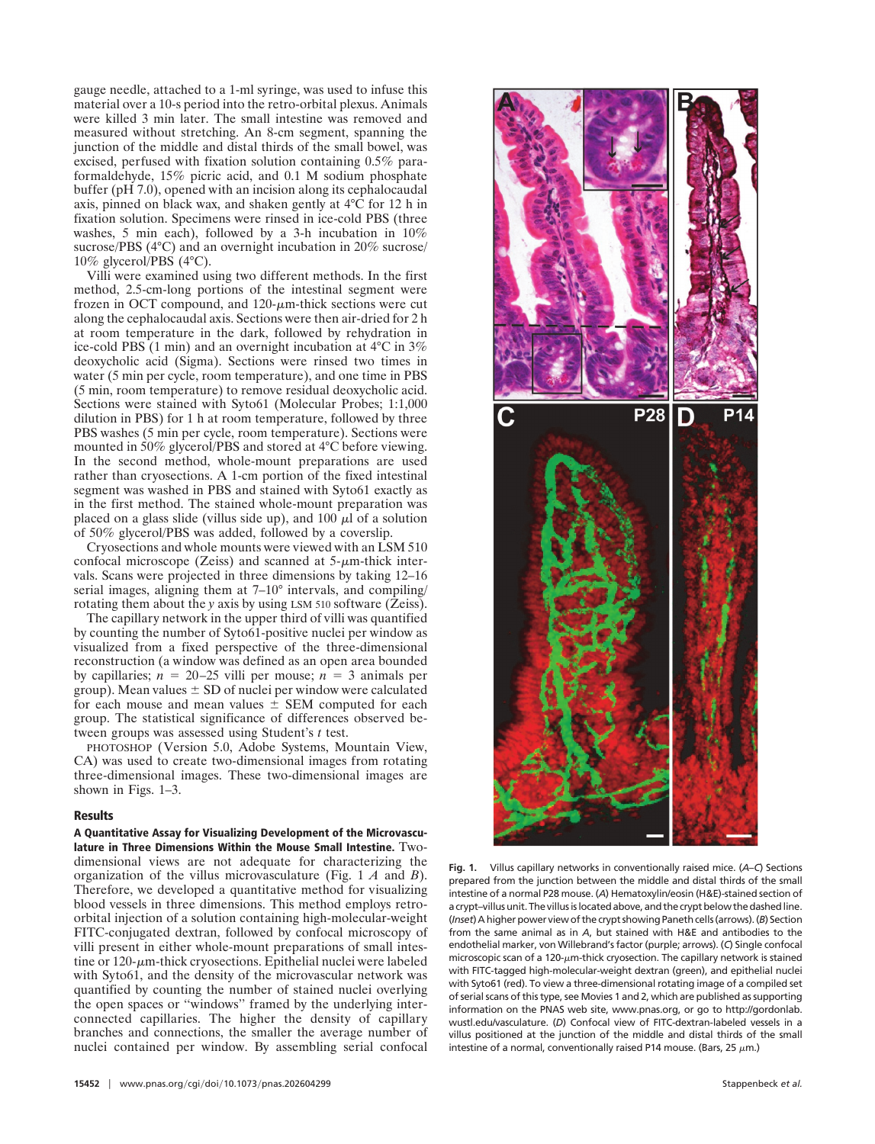gauge needle, attached to a 1-ml syringe, was used to infuse this material over a 10-s period into the retro-orbital plexus. Animals were killed 3 min later. The small intestine was removed and measured without stretching. An 8-cm segment, spanning the junction of the middle and distal thirds of the small bowel, was excised, perfused with fixation solution containing 0.5% paraformaldehyde, 15% picric acid, and 0.1 M sodium phosphate buffer (pH 7.0), opened with an incision along its cephalocaudal axis, pinned on black wax, and shaken gently at 4°C for 12 h in fixation solution. Specimens were rinsed in ice-cold PBS (three washes, 5 min each), followed by a 3-h incubation in 10% sucrose/PBS (4°C) and an overnight incubation in 20% sucrose/ 10% glycerol/PBS (4°C).

Villi were examined using two different methods. In the first method, 2.5-cm-long portions of the intestinal segment were frozen in OCT compound, and  $120$ - $\mu$ m-thick sections were cut along the cephalocaudal axis. Sections were then air-dried for 2 h at room temperature in the dark, followed by rehydration in ice-cold PBS (1 min) and an overnight incubation at 4°C in 3% deoxycholic acid (Sigma). Sections were rinsed two times in water (5 min per cycle, room temperature), and one time in PBS (5 min, room temperature) to remove residual deoxycholic acid. Sections were stained with Syto61 (Molecular Probes; 1:1,000 dilution in PBS) for 1 h at room temperature, followed by three PBS washes (5 min per cycle, room temperature). Sections were mounted in 50% glycerol/PBS and stored at 4°C before viewing. In the second method, whole-mount preparations are used rather than cryosections. A 1-cm portion of the fixed intestinal segment was washed in PBS and stained with Syto61 exactly as in the first method. The stained whole-mount preparation was placed on a glass slide (villus side up), and 100  $\mu$ l of a solution of 50% glycerol/PBS was added, followed by a coverslip.

Cryosections and whole mounts were viewed with an LSM 510 confocal microscope (Zeiss) and scanned at  $5\text{-}\mu\text{m}$ -thick intervals. Scans were projected in three dimensions by taking 12–16 serial images, aligning them at 7–10° intervals, and compiling/ rotating them about the *y* axis by using LSM 510 software (Zeiss).

The capillary network in the upper third of villi was quantified by counting the number of Syto61-positive nuclei per window as visualized from a fixed perspective of the three-dimensional reconstruction (a window was defined as an open area bounded by capillaries;  $n = 20-25$  villi per mouse;  $n = 3$  animals per group). Mean values  $\pm$  SD of nuclei per window were calculated for each mouse and mean values  $\pm$  SEM computed for each group. The statistical significance of differences observed between groups was assessed using Student's *t* test.

PHOTOSHOP (Version 5.0, Adobe Systems, Mountain View, CA) was used to create two-dimensional images from rotating three-dimensional images. These two-dimensional images are shown in Figs. 1–3.

## **Results**

**A Quantitative Assay for Visualizing Development of the Microvasculature in Three Dimensions Within the Mouse Small Intestine.** Twodimensional views are not adequate for characterizing the organization of the villus microvasculature (Fig. 1 *A* and *B*). Therefore, we developed a quantitative method for visualizing blood vessels in three dimensions. This method employs retroorbital injection of a solution containing high-molecular-weight FITC-conjugated dextran, followed by confocal microscopy of villi present in either whole-mount preparations of small intestine or  $120$ - $\mu$ m-thick cryosections. Epithelial nuclei were labeled with Syto61, and the density of the microvascular network was quantified by counting the number of stained nuclei overlying the open spaces or ''windows'' framed by the underlying interconnected capillaries. The higher the density of capillary branches and connections, the smaller the average number of nuclei contained per window. By assembling serial confocal



**Fig. 1.** Villus capillary networks in conventionally raised mice. (*A*–*C*) Sections prepared from the junction between the middle and distal thirds of the small intestine of a normal P28 mouse. (*A*) Hematoxylin/eosin (H&E)-stained section of a crypt-villus unit. The villus is located above, and the crypt below the dashed line. (Inset) A higher power view of the crypt showing Paneth cells (arrows). (B) Section from the same animal as in *A*, but stained with H&E and antibodies to the endothelial marker, von Willebrand's factor (purple; arrows). (*C*) Single confocal microscopic scan of a 120- $\mu$ m-thick cryosection. The capillary network is stained with FITC-tagged high-molecular-weight dextran (green), and epithelial nuclei with Syto61 (red). To view a three-dimensional rotating image of a compiled set of serial scans of this type, see Movies 1 and 2, which are published as supporting information on the PNAS web site, www.pnas.org, or go to http://gordonlab. wustl.edu/vasculature. (*D*) Confocal view of FITC-dextran-labeled vessels in a villus positioned at the junction of the middle and distal thirds of the small intestine of a normal, conventionally raised P14 mouse. (Bars, 25  $\mu$ m.)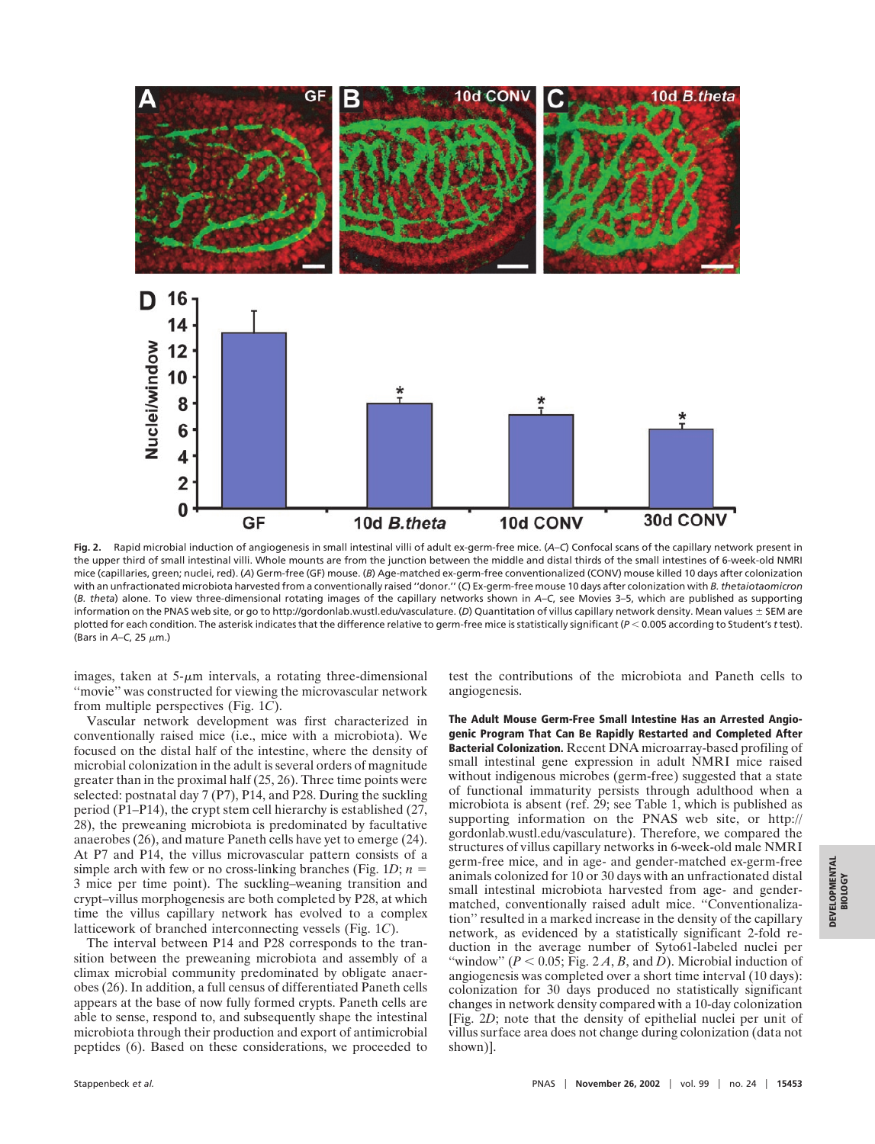

**Fig. 2.** Rapid microbial induction of angiogenesis in small intestinal villi of adult ex-germ-free mice. (*A*–*C*) Confocal scans of the capillary network present in the upper third of small intestinal villi. Whole mounts are from the junction between the middle and distal thirds of the small intestines of 6-week-old NMRI mice (capillaries, green; nuclei, red). (*A*) Germ-free (GF) mouse. (*B*) Age-matched ex-germ-free conventionalized (CONV) mouse killed 10 days after colonization with an unfractionated microbiota harvested from a conventionally raised ''donor.'' (*C*) Ex-germ-free mouse 10 days after colonization with *B. thetaiotaomicron* (*B. theta*) alone. To view three-dimensional rotating images of the capillary networks shown in *A*–*C*, see Movies 3–5, which are published as supporting information on the PNAS web site, or go to http://gordonlab.wustl.edu/vasculature. (*D*) Quantitation of villus capillary network density. Mean values ± SEM are plotted for each condition. The asterisk indicates that the difference relative to germ-free mice is statistically significant (*P* 0.005 according to Student's *t* test). (Bars in  $A$ –C, 25  $\mu$ m.)

images, taken at  $5-\mu m$  intervals, a rotating three-dimensional ''movie'' was constructed for viewing the microvascular network from multiple perspectives (Fig. 1*C*).

Vascular network development was first characterized in conventionally raised mice (i.e., mice with a microbiota). We focused on the distal half of the intestine, where the density of microbial colonization in the adult is several orders of magnitude greater than in the proximal half (25, 26). Three time points were selected: postnatal day 7 (P7), P14, and P28. During the suckling period (P1–P14), the crypt stem cell hierarchy is established (27, 28), the preweaning microbiota is predominated by facultative anaerobes (26), and mature Paneth cells have yet to emerge (24). At P7 and P14, the villus microvascular pattern consists of a simple arch with few or no cross-linking branches (Fig.  $1D$ ;  $n =$ 3 mice per time point). The suckling–weaning transition and crypt–villus morphogenesis are both completed by P28, at which time the villus capillary network has evolved to a complex latticework of branched interconnecting vessels (Fig. 1*C*).

The interval between P14 and P28 corresponds to the transition between the preweaning microbiota and assembly of a climax microbial community predominated by obligate anaerobes (26). In addition, a full census of differentiated Paneth cells appears at the base of now fully formed crypts. Paneth cells are able to sense, respond to, and subsequently shape the intestinal microbiota through their production and export of antimicrobial peptides (6). Based on these considerations, we proceeded to

test the contributions of the microbiota and Paneth cells to angiogenesis.

**The Adult Mouse Germ-Free Small Intestine Has an Arrested Angiogenic Program That Can Be Rapidly Restarted and Completed After Bacterial Colonization.** Recent DNA microarray-based profiling of small intestinal gene expression in adult NMRI mice raised without indigenous microbes (germ-free) suggested that a state of functional immaturity persists through adulthood when a microbiota is absent (ref. 29; see Table 1, which is published as supporting information on the PNAS web site, or http:// gordonlab.wustl.edu/vasculature). Therefore, we compared the structures of villus capillary networks in 6-week-old male NMRI germ-free mice, and in age- and gender-matched ex-germ-free animals colonized for 10 or 30 days with an unfractionated distal small intestinal microbiota harvested from age- and gendermatched, conventionally raised adult mice. "Conventionalization'' resulted in a marked increase in the density of the capillary network, as evidenced by a statistically significant 2-fold reduction in the average number of Syto61-labeled nuclei per "window" ( $P < 0.05$ ; Fig. 2A, B, and D). Microbial induction of angiogenesis was completed over a short time interval (10 days): colonization for 30 days produced no statistically significant changes in network density compared with a 10-day colonization [Fig. 2*D*; note that the density of epithelial nuclei per unit of villus surface area does not change during colonization (data not shown)].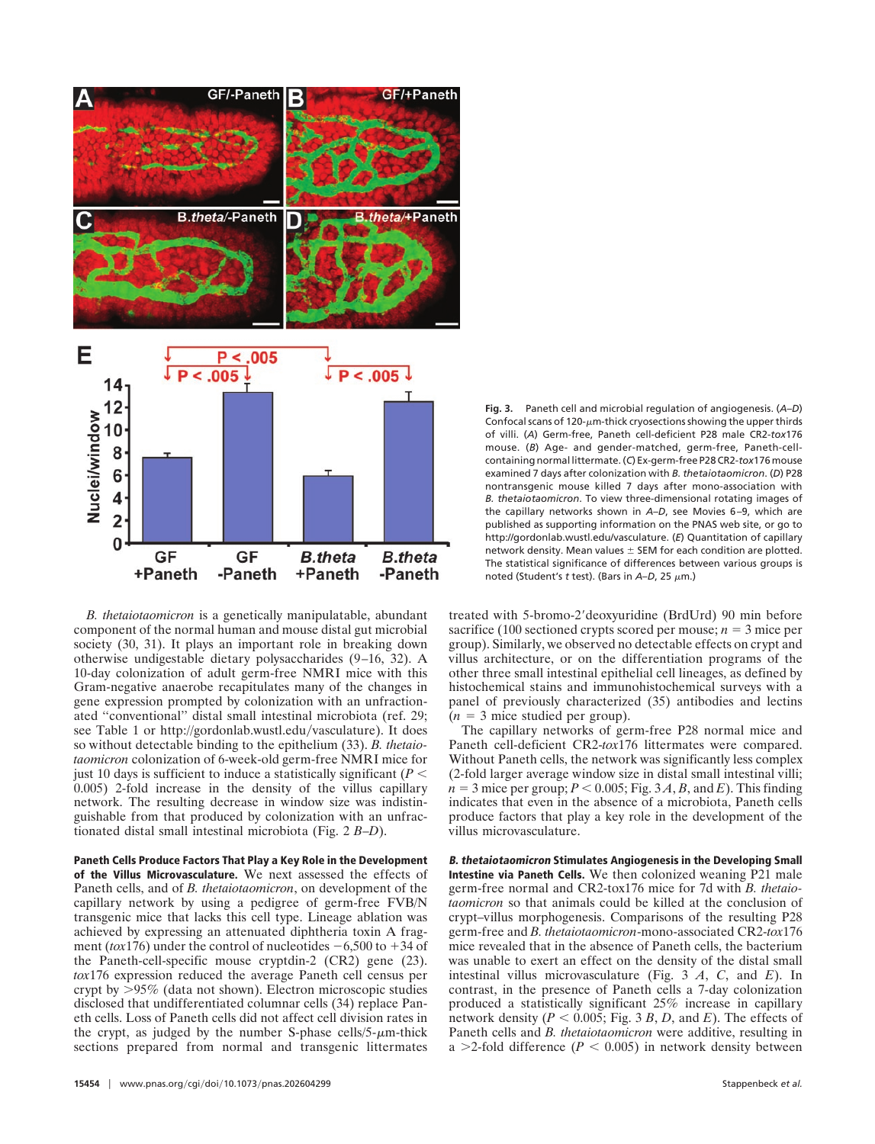

*B. thetaiotaomicron* is a genetically manipulatable, abundant component of the normal human and mouse distal gut microbial society (30, 31). It plays an important role in breaking down otherwise undigestable dietary polysaccharides (9–16, 32). A 10-day colonization of adult germ-free NMRI mice with this Gram-negative anaerobe recapitulates many of the changes in gene expression prompted by colonization with an unfractionated ''conventional'' distal small intestinal microbiota (ref. 29; see Table 1 or http://gordonlab.wustl.edu/vasculature). It does so without detectable binding to the epithelium (33). *B. thetaiotaomicron* colonization of 6-week-old germ-free NMRI mice for just 10 days is sufficient to induce a statistically significant ( $P <$ 0.005) 2-fold increase in the density of the villus capillary network. The resulting decrease in window size was indistinguishable from that produced by colonization with an unfractionated distal small intestinal microbiota (Fig. 2 *B*–*D*).

**Paneth Cells Produce Factors That Play a Key Role in the Development of the Villus Microvasculature.** We next assessed the effects of Paneth cells, and of *B. thetaiotaomicron*, on development of the capillary network by using a pedigree of germ-free FVB/N transgenic mice that lacks this cell type. Lineage ablation was achieved by expressing an attenuated diphtheria toxin A fragment ( $\arctan(176)$ ) under the control of nucleotides  $-6,500$  to  $+34$  of the Paneth-cell-specific mouse cryptdin-2 (CR2) gene (23). *tox*176 expression reduced the average Paneth cell census per crypt by  $>95\%$  (data not shown). Electron microscopic studies disclosed that undifferentiated columnar cells (34) replace Paneth cells. Loss of Paneth cells did not affect cell division rates in the crypt, as judged by the number S-phase cells/5- $\mu$ m-thick sections prepared from normal and transgenic littermates

**Fig. 3.** Paneth cell and microbial regulation of angiogenesis. (*A*–*D*) Confocal scans of 120- $\mu$ m-thick cryosections showing the upper thirds of villi. (*A*) Germ-free, Paneth cell-deficient P28 male CR2-*tox*176 mouse. (*B*) Age- and gender-matched, germ-free, Paneth-cellcontaining normal littermate. (*C*) Ex-germ-free P28 CR2-*tox*176 mouse examined 7 days after colonization with *B. thetaiotaomicron*. (*D*) P28 nontransgenic mouse killed 7 days after mono-association with *B. thetaiotaomicron*. To view three-dimensional rotating images of the capillary networks shown in *A*–*D*, see Movies 6–9, which are published as supporting information on the PNAS web site, or go to http://gordonlab.wustl.edu/vasculature. (*E*) Quantitation of capillary network density. Mean values  $\pm$  SEM for each condition are plotted. The statistical significance of differences between various groups is noted (Student's t test). (Bars in A–D, 25  $\mu$ m.)

treated with 5-bromo-2'deoxyuridine (BrdUrd) 90 min before sacrifice (100 sectioned crypts scored per mouse;  $n = 3$  mice per group). Similarly, we observed no detectable effects on crypt and villus architecture, or on the differentiation programs of the other three small intestinal epithelial cell lineages, as defined by histochemical stains and immunohistochemical surveys with a panel of previously characterized (35) antibodies and lectins  $(n = 3$  mice studied per group).

The capillary networks of germ-free P28 normal mice and Paneth cell-deficient CR2-*tox*176 littermates were compared. Without Paneth cells, the network was significantly less complex (2-fold larger average window size in distal small intestinal villi;  $n = 3$  mice per group;  $P < 0.005$ ; Fig. 3 *A*, *B*, and *E*). This finding indicates that even in the absence of a microbiota, Paneth cells produce factors that play a key role in the development of the villus microvasculature.

**B. thetaiotaomicron Stimulates Angiogenesis in the Developing Small Intestine via Paneth Cells.** We then colonized weaning P21 male germ-free normal and CR2-tox176 mice for 7d with *B. thetaiotaomicron* so that animals could be killed at the conclusion of crypt–villus morphogenesis. Comparisons of the resulting P28 germ-free and *B. thetaiotaomicron*-mono-associated CR2-*tox*176 mice revealed that in the absence of Paneth cells, the bacterium was unable to exert an effect on the density of the distal small intestinal villus microvasculature (Fig. 3 *A*, *C*, and *E*). In contrast, in the presence of Paneth cells a 7-day colonization produced a statistically significant 25% increase in capillary network density ( $P < 0.005$ ; Fig. 3 B, D, and E). The effects of Paneth cells and *B. thetaiotaomicron* were additive, resulting in a  $>$ 2-fold difference ( $P < 0.005$ ) in network density between